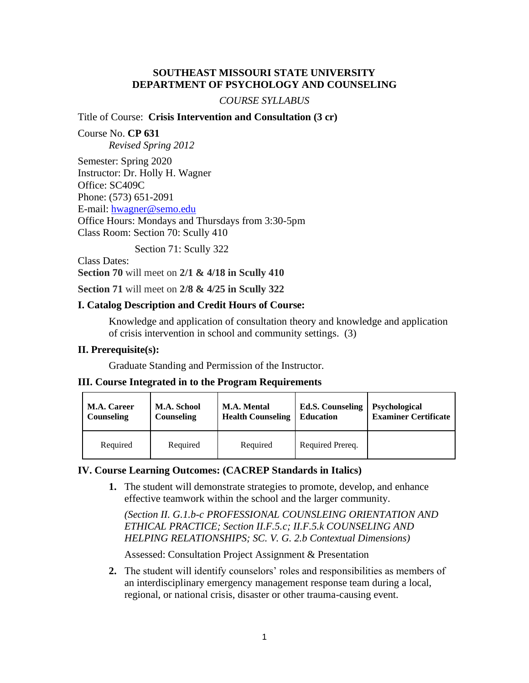## **SOUTHEAST MISSOURI STATE UNIVERSITY DEPARTMENT OF PSYCHOLOGY AND COUNSELING**

## *COURSE SYLLABUS*

Title of Course: **Crisis Intervention and Consultation (3 cr)** 

Course No. **CP 631** *Revised Spring 2012*

Semester: Spring 2020 Instructor: Dr. Holly H. Wagner Office: SC409C Phone: (573) 651-2091 E-mail: [hwagner@semo.edu](mailto:hwagner@semo.edu) Office Hours: Mondays and Thursdays from 3:30-5pm Class Room: Section 70: Scully 410

Section 71: Scully 322

Class Dates: **Section 70** will meet on **2/1 & 4/18 in Scully 410**

**Section 71** will meet on **2/8 & 4/25 in Scully 322**

## **I. Catalog Description and Credit Hours of Course:**

Knowledge and application of consultation theory and knowledge and application of crisis intervention in school and community settings. (3)

## **II. Prerequisite(s):**

Graduate Standing and Permission of the Instructor.

### **III. Course Integrated in to the Program Requirements**

| <b>M.A. Career</b> | <b>M.A. School</b> | <b>M.A. Mental</b>       | <b>Ed.S. Counseling</b> | <b>Psychological</b>        |
|--------------------|--------------------|--------------------------|-------------------------|-----------------------------|
| Counseling         | Counseling         | <b>Health Counseling</b> | <b>Education</b>        | <b>Examiner Certificate</b> |
| Required           | Required           | Required                 | Required Prereq.        |                             |

## **IV. Course Learning Outcomes: (CACREP Standards in Italics)**

**1.** The student will demonstrate strategies to promote, develop, and enhance effective teamwork within the school and the larger community.

*(Section II. G.1.b-c PROFESSIONAL COUNSLEING ORIENTATION AND ETHICAL PRACTICE; Section II.F.5.c; II.F.5.k COUNSELING AND HELPING RELATIONSHIPS; SC. V. G. 2.b Contextual Dimensions)*

Assessed: Consultation Project Assignment & Presentation

**2.** The student will identify counselors' roles and responsibilities as members of an interdisciplinary emergency management response team during a local, regional, or national crisis, disaster or other trauma-causing event.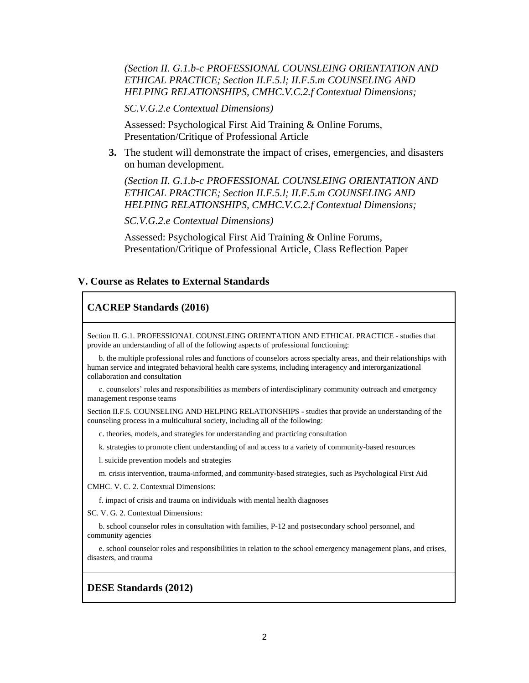*(Section II. G.1.b-c PROFESSIONAL COUNSLEING ORIENTATION AND ETHICAL PRACTICE; Section II.F.5.l; II.F.5.m COUNSELING AND HELPING RELATIONSHIPS, CMHC.V.C.2.f Contextual Dimensions;* 

*SC.V.G.2.e Contextual Dimensions)*

Assessed: Psychological First Aid Training & Online Forums, Presentation/Critique of Professional Article

**3.** The student will demonstrate the impact of crises, emergencies, and disasters on human development.

*(Section II. G.1.b-c PROFESSIONAL COUNSLEING ORIENTATION AND ETHICAL PRACTICE; Section II.F.5.l; II.F.5.m COUNSELING AND HELPING RELATIONSHIPS, CMHC.V.C.2.f Contextual Dimensions;* 

*SC.V.G.2.e Contextual Dimensions)*

Assessed: Psychological First Aid Training & Online Forums, Presentation/Critique of Professional Article, Class Reflection Paper

## **V. Course as Relates to External Standards**

## **CACREP Standards (2016)**

Section II. G.1. PROFESSIONAL COUNSLEING ORIENTATION AND ETHICAL PRACTICE - studies that provide an understanding of all of the following aspects of professional functioning:

 b. the multiple professional roles and functions of counselors across specialty areas, and their relationships with human service and integrated behavioral health care systems, including interagency and interorganizational collaboration and consultation

 c. counselors' roles and responsibilities as members of interdisciplinary community outreach and emergency management response teams

Section II.F.5. COUNSELING AND HELPING RELATIONSHIPS - studies that provide an understanding of the counseling process in a multicultural society, including all of the following:

c. theories, models, and strategies for understanding and practicing consultation

k. strategies to promote client understanding of and access to a variety of community-based resources

l. suicide prevention models and strategies

m. crisis intervention, trauma-informed, and community-based strategies, such as Psychological First Aid

CMHC. V. C. 2. Contextual Dimensions:

f. impact of crisis and trauma on individuals with mental health diagnoses

SC. V. G. 2. Contextual Dimensions:

 b. school counselor roles in consultation with families, P-12 and postsecondary school personnel, and community agencies

 e. school counselor roles and responsibilities in relation to the school emergency management plans, and crises, disasters, and trauma

## **DESE Standards (2012)**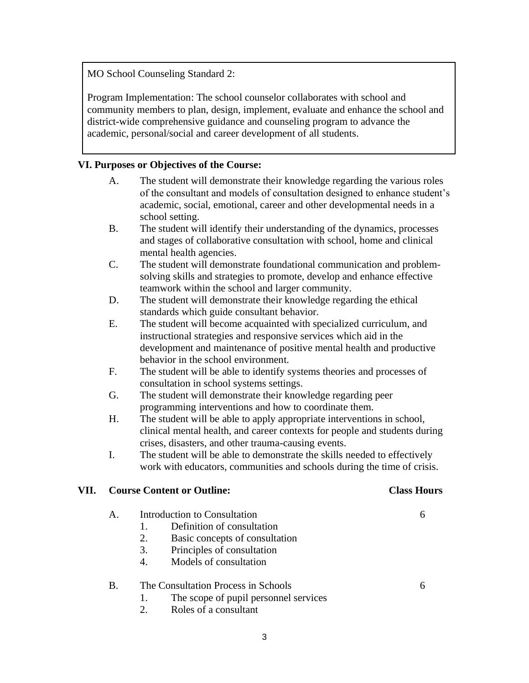MO School Counseling Standard 2:

Program Implementation: The school counselor collaborates with school and community members to plan, design, implement, evaluate and enhance the school and district-wide comprehensive guidance and counseling program to advance the academic, personal/social and career development of all students.

## **VI. Purposes or Objectives of the Course:**

- A. The student will demonstrate their knowledge regarding the various roles of the consultant and models of consultation designed to enhance student's academic, social, emotional, career and other developmental needs in a school setting.
- B. The student will identify their understanding of the dynamics, processes and stages of collaborative consultation with school, home and clinical mental health agencies.
- C. The student will demonstrate foundational communication and problemsolving skills and strategies to promote, develop and enhance effective teamwork within the school and larger community.
- D. The student will demonstrate their knowledge regarding the ethical standards which guide consultant behavior.
- E. The student will become acquainted with specialized curriculum, and instructional strategies and responsive services which aid in the development and maintenance of positive mental health and productive behavior in the school environment.
- F. The student will be able to identify systems theories and processes of consultation in school systems settings.
- G. The student will demonstrate their knowledge regarding peer programming interventions and how to coordinate them.
- H. The student will be able to apply appropriate interventions in school, clinical mental health, and career contexts for people and students during crises, disasters, and other trauma-causing events.
- I. The student will be able to demonstrate the skills needed to effectively work with educators, communities and schools during the time of crisis.

## **VII. Course Content or Outline: Class Hours**

- A. Introduction to Consultation 6
	- 1. Definition of consultation
	- 2. Basic concepts of consultation
	- 3. Principles of consultation
	- 4. Models of consultation

## B. The Consultation Process in Schools 6

- 1. The scope of pupil personnel services
- 2. Roles of a consultant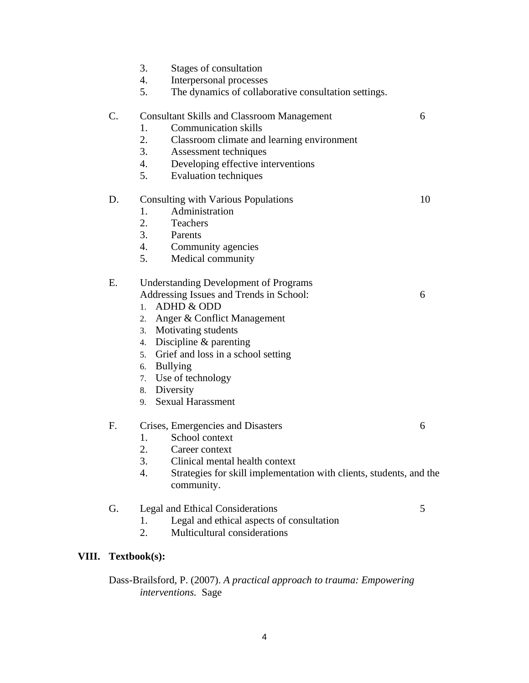|    | 3.<br>Stages of consultation                                                            |    |  |  |
|----|-----------------------------------------------------------------------------------------|----|--|--|
|    | 4.<br>Interpersonal processes                                                           |    |  |  |
|    | The dynamics of collaborative consultation settings.<br>5.                              |    |  |  |
| C. | <b>Consultant Skills and Classroom Management</b><br>6                                  |    |  |  |
|    | <b>Communication skills</b><br>1.                                                       |    |  |  |
|    | 2.<br>Classroom climate and learning environment                                        |    |  |  |
|    | 3.<br>Assessment techniques                                                             |    |  |  |
|    | 4.<br>Developing effective interventions                                                |    |  |  |
|    | 5.<br><b>Evaluation techniques</b>                                                      |    |  |  |
| D. | Consulting with Various Populations                                                     | 10 |  |  |
|    | Administration<br>1.                                                                    |    |  |  |
|    | 2.<br>Teachers                                                                          |    |  |  |
|    | 3.<br>Parents                                                                           |    |  |  |
|    | 4.<br>Community agencies                                                                |    |  |  |
|    | 5.<br>Medical community                                                                 |    |  |  |
| Ε. | <b>Understanding Development of Programs</b>                                            |    |  |  |
|    | Addressing Issues and Trends in School:                                                 | 6  |  |  |
|    | 1. ADHD & ODD                                                                           |    |  |  |
|    | 2. Anger & Conflict Management                                                          |    |  |  |
|    | 3. Motivating students                                                                  |    |  |  |
|    | 4. Discipline & parenting                                                               |    |  |  |
|    | Grief and loss in a school setting<br>5.                                                |    |  |  |
|    | <b>Bullying</b><br>6.                                                                   |    |  |  |
|    | 7. Use of technology                                                                    |    |  |  |
|    | 8. Diversity                                                                            |    |  |  |
|    | 9. Sexual Harassment                                                                    |    |  |  |
| F. | Crises, Emergencies and Disasters                                                       | 6  |  |  |
|    | School context<br>1.                                                                    |    |  |  |
|    | 2.<br>Career context                                                                    |    |  |  |
|    | 3.<br>Clinical mental health context                                                    |    |  |  |
|    | 4.<br>Strategies for skill implementation with clients, students, and the<br>community. |    |  |  |
|    |                                                                                         |    |  |  |
| G. | <b>Legal and Ethical Considerations</b>                                                 | 5  |  |  |
|    | Legal and ethical aspects of consultation<br>1.                                         |    |  |  |
|    | Multicultural considerations<br>2.                                                      |    |  |  |
|    |                                                                                         |    |  |  |

# **VIII. Textbook(s):**

Dass-Brailsford, P. (2007). *A practical approach to trauma: Empowering interventions.* Sage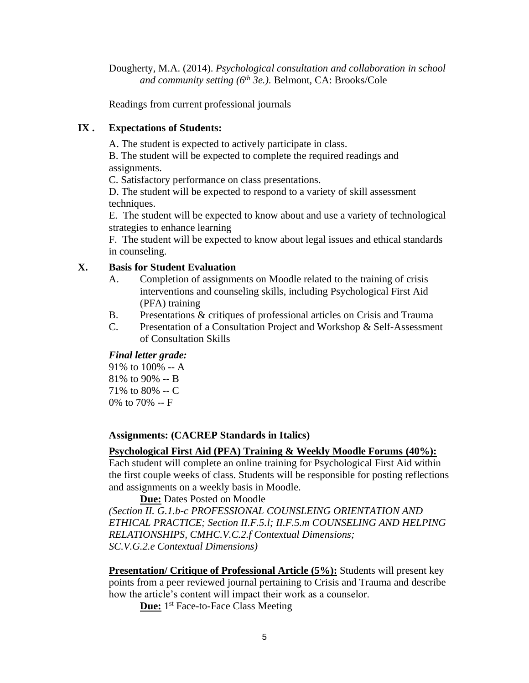Dougherty, M.A. (2014). *Psychological consultation and collaboration in school and community setting (6th 3e.).* Belmont, CA: Brooks/Cole

Readings from current professional journals

## **IX . Expectations of Students:**

A. The student is expected to actively participate in class.

B. The student will be expected to complete the required readings and assignments.

C. Satisfactory performance on class presentations.

D. The student will be expected to respond to a variety of skill assessment techniques.

E. The student will be expected to know about and use a variety of technological strategies to enhance learning

F. The student will be expected to know about legal issues and ethical standards in counseling.

## **X. Basis for Student Evaluation**

- A. Completion of assignments on Moodle related to the training of crisis interventions and counseling skills, including Psychological First Aid (PFA) training
- B. Presentations & critiques of professional articles on Crisis and Trauma
- C. Presentation of a Consultation Project and Workshop & Self-Assessment of Consultation Skills

## *Final letter grade:*

91% to 100% -- A 81% to 90% -- B 71% to 80% -- C 0% to 70% -- F

## **Assignments: (CACREP Standards in Italics)**

## **Psychological First Aid (PFA) Training & Weekly Moodle Forums (40%):**

Each student will complete an online training for Psychological First Aid within the first couple weeks of class. Students will be responsible for posting reflections and assignments on a weekly basis in Moodle.

## **Due:** Dates Posted on Moodle

*(Section II. G.1.b-c PROFESSIONAL COUNSLEING ORIENTATION AND ETHICAL PRACTICE; Section II.F.5.l; II.F.5.m COUNSELING AND HELPING RELATIONSHIPS, CMHC.V.C.2.f Contextual Dimensions; SC.V.G.2.e Contextual Dimensions)*

**Presentation/ Critique of Professional Article (5%):** Students will present key points from a peer reviewed journal pertaining to Crisis and Trauma and describe how the article's content will impact their work as a counselor.

**Due:** 1<sup>st</sup> Face-to-Face Class Meeting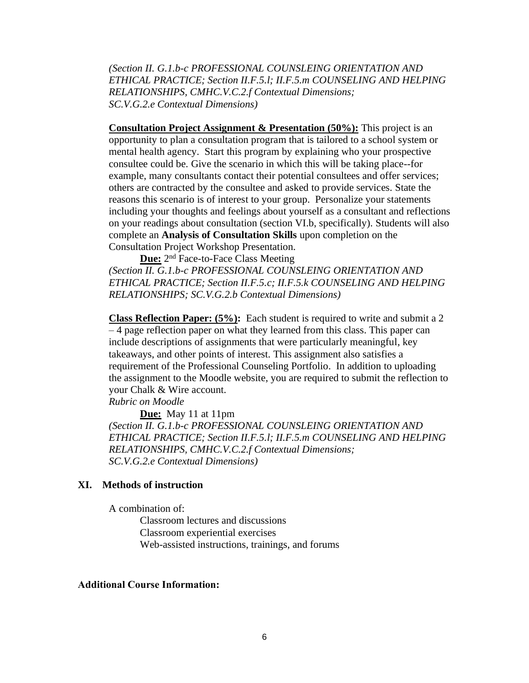*(Section II. G.1.b-c PROFESSIONAL COUNSLEING ORIENTATION AND ETHICAL PRACTICE; Section II.F.5.l; II.F.5.m COUNSELING AND HELPING RELATIONSHIPS, CMHC.V.C.2.f Contextual Dimensions; SC.V.G.2.e Contextual Dimensions)*

**Consultation Project Assignment & Presentation (50%):** This project is an opportunity to plan a consultation program that is tailored to a school system or mental health agency. Start this program by explaining who your prospective consultee could be. Give the scenario in which this will be taking place--for example, many consultants contact their potential consultees and offer services; others are contracted by the consultee and asked to provide services. State the reasons this scenario is of interest to your group. Personalize your statements including your thoughts and feelings about yourself as a consultant and reflections on your readings about consultation (section VI.b, specifically). Students will also complete an **Analysis of Consultation Skills** upon completion on the Consultation Project Workshop Presentation.

**Due:** 2 nd Face-to-Face Class Meeting

*(Section II. G.1.b-c PROFESSIONAL COUNSLEING ORIENTATION AND ETHICAL PRACTICE; Section II.F.5.c; II.F.5.k COUNSELING AND HELPING RELATIONSHIPS; SC.V.G.2.b Contextual Dimensions)*

**Class Reflection Paper: (5%):** Each student is required to write and submit a 2 – 4 page reflection paper on what they learned from this class. This paper can include descriptions of assignments that were particularly meaningful, key takeaways, and other points of interest. This assignment also satisfies a requirement of the Professional Counseling Portfolio. In addition to uploading the assignment to the Moodle website, you are required to submit the reflection to your Chalk & Wire account.

*Rubric on Moodle*

**Due:** May 11 at 11pm *(Section II. G.1.b-c PROFESSIONAL COUNSLEING ORIENTATION AND ETHICAL PRACTICE; Section II.F.5.l; II.F.5.m COUNSELING AND HELPING RELATIONSHIPS, CMHC.V.C.2.f Contextual Dimensions; SC.V.G.2.e Contextual Dimensions)*

## **XI. Methods of instruction**

A combination of:

Classroom lectures and discussions Classroom experiential exercises Web-assisted instructions, trainings, and forums

## **Additional Course Information:**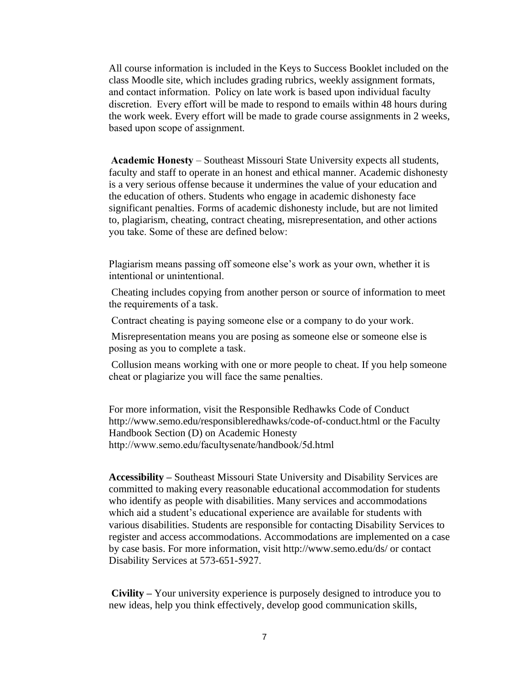All course information is included in the Keys to Success Booklet included on the class Moodle site, which includes grading rubrics, weekly assignment formats, and contact information.  Policy on late work is based upon individual faculty discretion.  Every effort will be made to respond to emails within 48 hours during the work week. Every effort will be made to grade course assignments in 2 weeks, based upon scope of assignment. 

**Academic Honesty** – Southeast Missouri State University expects all students, faculty and staff to operate in an honest and ethical manner. Academic dishonesty is a very serious offense because it undermines the value of your education and the education of others. Students who engage in academic dishonesty face significant penalties. Forms of academic dishonesty include, but are not limited to, plagiarism, cheating, contract cheating, misrepresentation, and other actions you take. Some of these are defined below: 

Plagiarism means passing off someone else's work as your own, whether it is intentional or unintentional. 

Cheating includes copying from another person or source of information to meet the requirements of a task.  

Contract cheating is paying someone else or a company to do your work.  

Misrepresentation means you are posing as someone else or someone else is posing as you to complete a task.  

Collusion means working with one or more people to cheat. If you help someone cheat or plagiarize you will face the same penalties. 

For more information, visit the Responsible Redhawks Code of Conduct http://www.semo.edu/responsibleredhawks/code-of-conduct.html or the Faculty Handbook Section (D) on Academic Honesty http://www.semo.edu/facultysenate/handbook/5d.html 

**Accessibility –** Southeast Missouri State University and Disability Services are committed to making every reasonable educational accommodation for students who identify as people with disabilities. Many services and accommodations which aid a student's educational experience are available for students with various disabilities. Students are responsible for contacting Disability Services to register and access accommodations. Accommodations are implemented on a case by case basis. For more information, visit http://www.semo.edu/ds/ or contact Disability Services at 573-651-5927. 

**Civility –** Your university experience is purposely designed to introduce you to new ideas, help you think effectively, develop good communication skills,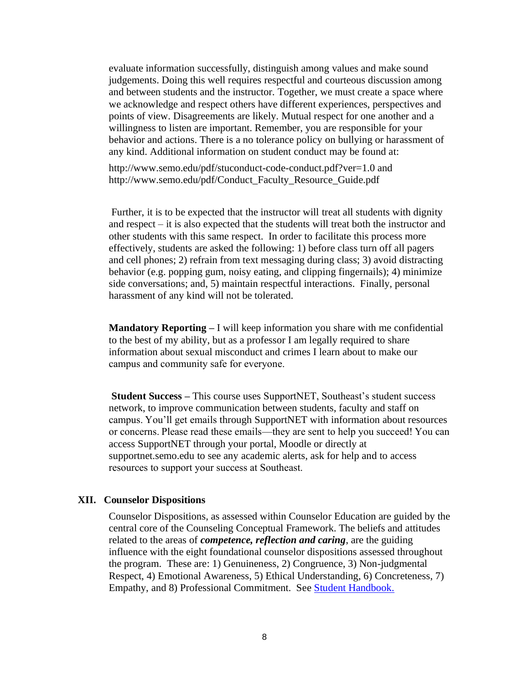evaluate information successfully, distinguish among values and make sound judgements. Doing this well requires respectful and courteous discussion among and between students and the instructor. Together, we must create a space where we acknowledge and respect others have different experiences, perspectives and points of view. Disagreements are likely. Mutual respect for one another and a willingness to listen are important. Remember, you are responsible for your behavior and actions. There is a no tolerance policy on bullying or harassment of any kind. Additional information on student conduct may be found at:

http://www.semo.edu/pdf/stuconduct-code-conduct.pdf?ver=1.0 and [http://www.semo.edu/pdf/Conduct\\_Faculty\\_Resource\\_Guide.pdf](http://www.semo.edu/pdf/Conduct_Faculty_Resource_Guide.pdf  ) 

Further, it is to be expected that the instructor will treat all students with dignity and respect – it is also expected that the students will treat both the instructor and other students with this same respect. In order to facilitate this process more effectively, students are asked the following: 1) before class turn off all pagers and cell phones; 2) refrain from text messaging during class; 3) avoid distracting behavior (e.g. popping gum, noisy eating, and clipping fingernails); 4) minimize side conversations; and, 5) maintain respectful interactions. Finally, personal harassment of any kind will not be tolerated.

**Mandatory Reporting –** I will keep information you share with me confidential to the best of my ability, but as a professor I am legally required to share information about sexual misconduct and crimes I learn about to make our campus and community safe for everyone.  

**Student Success –** This course uses SupportNET, Southeast's student success network, to improve communication between students, faculty and staff on campus. You'll get emails through SupportNET with information about resources or concerns. Please read these emails—they are sent to help you succeed! You can access SupportNET through your portal, Moodle or directly at supportnet.semo.edu to see any academic alerts, ask for help and to access resources to support your success at Southeast. 

## **XII. Counselor Dispositions**

Counselor Dispositions, as assessed within Counselor Education are guided by the central core of the Counseling Conceptual Framework. The beliefs and attitudes related to the areas of *competence, reflection and caring*, are the guiding influence with the eight foundational counselor dispositions assessed throughout the program. These are: 1) Genuineness, 2) Congruence, 3) Non-judgmental Respect, 4) Emotional Awareness, 5) Ethical Understanding, 6) Concreteness, 7) Empathy, and 8) Professional Commitment. See [Student](http://www4.semo.edu/counsel/Forms/StudentHandbook.htm) [Handbook.](http://www4.semo.edu/counsel/Forms/StudentHandbook.htm)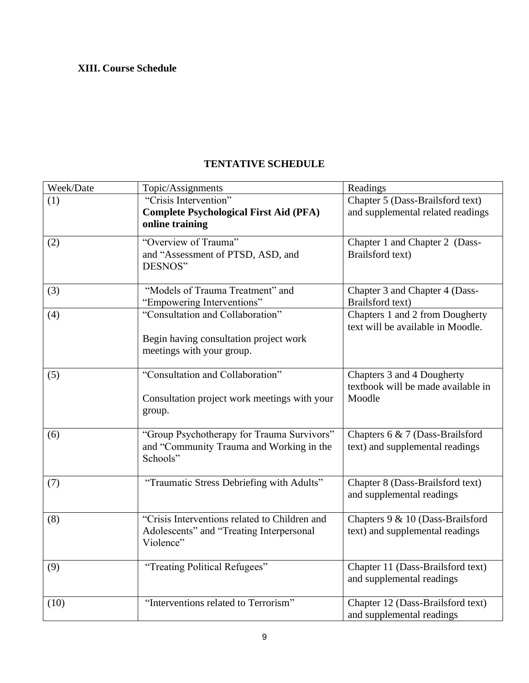# **XIII. Course Schedule**

## **TENTATIVE SCHEDULE**

| Week/Date | Topic/Assignments                                                                                       | Readings                                                                   |  |
|-----------|---------------------------------------------------------------------------------------------------------|----------------------------------------------------------------------------|--|
| (1)       | "Crisis Intervention"<br><b>Complete Psychological First Aid (PFA)</b><br>online training               | Chapter 5 (Dass-Brailsford text)<br>and supplemental related readings      |  |
| (2)       | "Overview of Trauma"<br>and "Assessment of PTSD, ASD, and<br>DESNOS"                                    | Chapter 1 and Chapter 2 (Dass-<br>Brailsford text)                         |  |
| (3)       | "Models of Trauma Treatment" and<br>"Empowering Interventions"                                          | Chapter 3 and Chapter 4 (Dass-<br>Brailsford text)                         |  |
| (4)       | "Consultation and Collaboration"<br>Begin having consultation project work<br>meetings with your group. | Chapters 1 and 2 from Dougherty<br>text will be available in Moodle.       |  |
| (5)       | "Consultation and Collaboration"<br>Consultation project work meetings with your<br>group.              | Chapters 3 and 4 Dougherty<br>textbook will be made available in<br>Moodle |  |
| (6)       | "Group Psychotherapy for Trauma Survivors"<br>and "Community Trauma and Working in the<br>Schools"      | Chapters 6 & 7 (Dass-Brailsford<br>text) and supplemental readings         |  |
| (7)       | "Traumatic Stress Debriefing with Adults"                                                               | Chapter 8 (Dass-Brailsford text)<br>and supplemental readings              |  |
| (8)       | "Crisis Interventions related to Children and<br>Adolescents" and "Treating Interpersonal<br>Violence"  | Chapters 9 & 10 (Dass-Brailsford<br>text) and supplemental readings        |  |
| (9)       | "Treating Political Refugees"                                                                           | Chapter 11 (Dass-Brailsford text)<br>and supplemental readings             |  |
| (10)      | "Interventions related to Terrorism"                                                                    | Chapter 12 (Dass-Brailsford text)<br>and supplemental readings             |  |